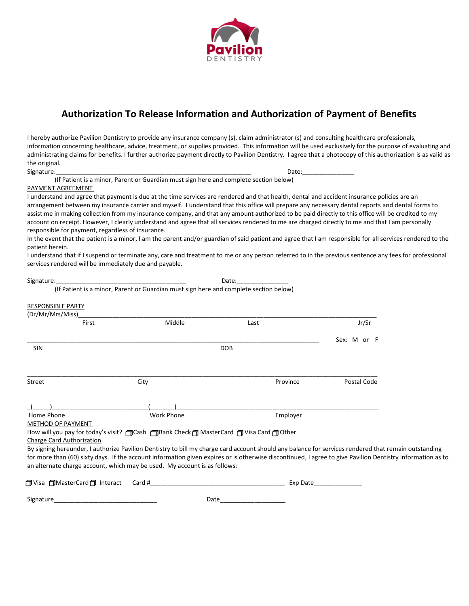

## **Authorization To Release Information and Authorization of Payment of Benefits**

I hereby authorize Pavilion Dentistry to provide any insurance company (s), claim administrator (s) and consulting healthcare professionals, information concerning healthcare, advice, treatment, or supplies provided. This information will be used exclusively for the purpose of evaluating and administrating claims for benefits. I further authorize payment directly to Pavilion Dentistry. I agree that a photocopy of this authorization is as valid as the original.

Signature:\_\_\_\_\_\_\_\_\_\_\_\_\_\_\_\_\_\_\_\_\_\_\_\_\_\_\_\_\_\_\_\_\_\_\_\_\_\_\_\_\_\_\_\_\_\_\_\_\_\_\_\_\_\_\_\_\_ Date:\_\_\_\_\_\_\_\_\_\_\_\_\_\_\_ (If Patient is a minor, Parent or Guardian must sign here and complete section below)

PAYMENT AGREEMENT

I understand and agree that payment is due at the time services are rendered and that health, dental and accident insurance policies are an arrangement between my insurance carrier and myself. I understand that this office will prepare any necessary dental reports and dental forms to assist me in making collection from my insurance company, and that any amount authorized to be paid directly to this office will be credited to my account on receipt. However, I clearly understand and agree that all services rendered to me are charged directly to me and that I am personally responsible for payment, regardless of insurance.

In the event that the patient is a minor, I am the parent and/or guardian of said patient and agree that I am responsible for all services rendered to the patient herein.

I understand that if I suspend or terminate any, care and treatment to me or any person referred to in the previous sentence any fees for professional services rendered will be immediately due and payable.

| Signature:                             |                                                                                                                                                | Date:      |                                                                                                                                                                                                                                                                                                                    |  |
|----------------------------------------|------------------------------------------------------------------------------------------------------------------------------------------------|------------|--------------------------------------------------------------------------------------------------------------------------------------------------------------------------------------------------------------------------------------------------------------------------------------------------------------------|--|
|                                        | (If Patient is a minor, Parent or Guardian must sign here and complete section below)                                                          |            |                                                                                                                                                                                                                                                                                                                    |  |
| <b>RESPONSIBLE PARTY</b>               |                                                                                                                                                |            |                                                                                                                                                                                                                                                                                                                    |  |
| (Dr/Mr/Mrs/Miss)_                      |                                                                                                                                                |            |                                                                                                                                                                                                                                                                                                                    |  |
| First                                  | Middle                                                                                                                                         | Last       | Jr/Sr                                                                                                                                                                                                                                                                                                              |  |
|                                        |                                                                                                                                                |            | Sex: M or F                                                                                                                                                                                                                                                                                                        |  |
| <b>SIN</b>                             |                                                                                                                                                | <b>DOB</b> |                                                                                                                                                                                                                                                                                                                    |  |
| Street                                 | City                                                                                                                                           | Province   | Postal Code                                                                                                                                                                                                                                                                                                        |  |
|                                        |                                                                                                                                                |            |                                                                                                                                                                                                                                                                                                                    |  |
| Home Phone<br><b>METHOD OF PAYMENT</b> | <b>Work Phone</b>                                                                                                                              | Employer   |                                                                                                                                                                                                                                                                                                                    |  |
| <b>Charge Card Authorization</b>       | How will you pay for today's visit? <a> GCash<br/> GCank Check <a> G<br/> MasterCard <a> G<br/> Visa Card <a> G<br> Other</br></a></a></a></a> |            |                                                                                                                                                                                                                                                                                                                    |  |
|                                        | an alternate charge account, which may be used. My account is as follows:                                                                      |            | By signing hereunder, I authorize Pavilion Dentistry to bill my charge card account should any balance for services rendered that remain outstanding<br>for more than (60) sixty days. If the account information given expires or is otherwise discontinued, I agree to give Pavilion Dentistry information as to |  |
|                                        |                                                                                                                                                |            | Exp Date that the state of the state of the state of the state of the state of the state of the state of the s                                                                                                                                                                                                     |  |
| Signature                              | Date                                                                                                                                           |            |                                                                                                                                                                                                                                                                                                                    |  |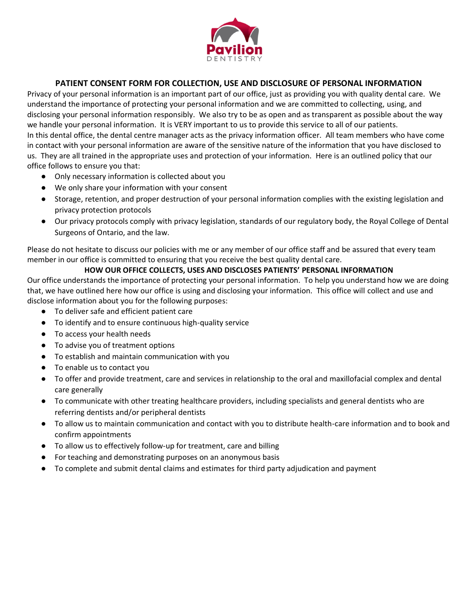

## **PATIENT CONSENT FORM FOR COLLECTION, USE AND DISCLOSURE OF PERSONAL INFORMATION**

Privacy of your personal information is an important part of our office, just as providing you with quality dental care. We understand the importance of protecting your personal information and we are committed to collecting, using, and disclosing your personal information responsibly. We also try to be as open and as transparent as possible about the way we handle your personal information. It is VERY important to us to provide this service to all of our patients. In this dental office, the dental centre manager acts as the privacy information officer. All team members who have come in contact with your personal information are aware of the sensitive nature of the information that you have disclosed to us. They are all trained in the appropriate uses and protection of your information. Here is an outlined policy that our office follows to ensure you that:

- Only necessary information is collected about you
- We only share your information with your consent
- Storage, retention, and proper destruction of your personal information complies with the existing legislation and privacy protection protocols
- Our privacy protocols comply with privacy legislation, standards of our regulatory body, the Royal College of Dental Surgeons of Ontario, and the law.

Please do not hesitate to discuss our policies with me or any member of our office staff and be assured that every team member in our office is committed to ensuring that you receive the best quality dental care.

### **HOW OUR OFFICE COLLECTS, USES AND DISCLOSES PATIENTS' PERSONAL INFORMATION**

Our office understands the importance of protecting your personal information. To help you understand how we are doing that, we have outlined here how our office is using and disclosing your information. This office will collect and use and disclose information about you for the following purposes:

- To deliver safe and efficient patient care
- To identify and to ensure continuous high-quality service
- To access your health needs
- To advise you of treatment options
- To establish and maintain communication with you
- To enable us to contact you
- To offer and provide treatment, care and services in relationship to the oral and maxillofacial complex and dental care generally
- To communicate with other treating healthcare providers, including specialists and general dentists who are referring dentists and/or peripheral dentists
- To allow us to maintain communication and contact with you to distribute health-care information and to book and confirm appointments
- To allow us to effectively follow-up for treatment, care and billing
- For teaching and demonstrating purposes on an anonymous basis
- To complete and submit dental claims and estimates for third party adjudication and payment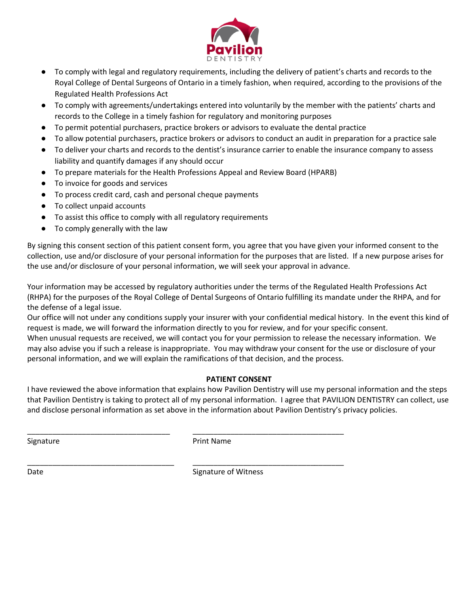

- To comply with legal and regulatory requirements, including the delivery of patient's charts and records to the Royal College of Dental Surgeons of Ontario in a timely fashion, when required, according to the provisions of the Regulated Health Professions Act
- To comply with agreements/undertakings entered into voluntarily by the member with the patients' charts and records to the College in a timely fashion for regulatory and monitoring purposes
- To permit potential purchasers, practice brokers or advisors to evaluate the dental practice
- To allow potential purchasers, practice brokers or advisors to conduct an audit in preparation for a practice sale
- To deliver your charts and records to the dentist's insurance carrier to enable the insurance company to assess liability and quantify damages if any should occur
- To prepare materials for the Health Professions Appeal and Review Board (HPARB)
- To invoice for goods and services
- To process credit card, cash and personal cheque payments
- To collect unpaid accounts
- To assist this office to comply with all regulatory requirements
- To comply generally with the law

By signing this consent section of this patient consent form, you agree that you have given your informed consent to the collection, use and/or disclosure of your personal information for the purposes that are listed. If a new purpose arises for the use and/or disclosure of your personal information, we will seek your approval in advance.

Your information may be accessed by regulatory authorities under the terms of the Regulated Health Professions Act (RHPA) for the purposes of the Royal College of Dental Surgeons of Ontario fulfilling its mandate under the RHPA, and for the defense of a legal issue.

Our office will not under any conditions supply your insurer with your confidential medical history. In the event this kind of request is made, we will forward the information directly to you for review, and for your specific consent.

When unusual requests are received, we will contact you for your permission to release the necessary information. We may also advise you if such a release is inappropriate. You may withdraw your consent for the use or disclosure of your personal information, and we will explain the ramifications of that decision, and the process.

## **PATIENT CONSENT**

I have reviewed the above information that explains how Pavilion Dentistry will use my personal information and the steps that Pavilion Dentistry is taking to protect all of my personal information. I agree that PAVILION DENTISTRY can collect, use and disclose personal information as set above in the information about Pavilion Dentistry's privacy policies.

Signature **Print Name** 

\_\_\_\_\_\_\_\_\_\_\_\_\_\_\_\_\_\_\_\_\_\_\_\_\_\_\_\_\_\_\_\_\_\_ \_\_\_\_\_\_\_\_\_\_\_\_\_\_\_\_\_\_\_\_\_\_\_\_\_\_\_\_\_\_\_\_\_\_\_\_

\_\_\_\_\_\_\_\_\_\_\_\_\_\_\_\_\_\_\_\_\_\_\_\_\_\_\_\_\_\_\_\_\_\_\_ \_\_\_\_\_\_\_\_\_\_\_\_\_\_\_\_\_\_\_\_\_\_\_\_\_\_\_\_\_\_\_\_\_\_\_\_

Date **Signature of Witness**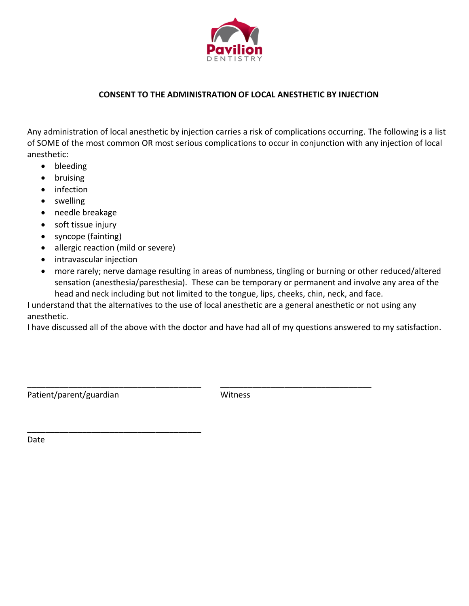

## **CONSENT TO THE ADMINISTRATION OF LOCAL ANESTHETIC BY INJECTION**

Any administration of local anesthetic by injection carries a risk of complications occurring. The following is a list of SOME of the most common OR most serious complications to occur in conjunction with any injection of local anesthetic:

- bleeding
- bruising
- infection
- swelling
- needle breakage
- soft tissue injury
- syncope (fainting)
- allergic reaction (mild or severe)

\_\_\_\_\_\_\_\_\_\_\_\_\_\_\_\_\_\_\_\_\_\_\_\_\_\_\_\_\_\_\_\_\_\_\_\_\_\_

- intravascular injection
- more rarely; nerve damage resulting in areas of numbness, tingling or burning or other reduced/altered sensation (anesthesia/paresthesia). These can be temporary or permanent and involve any area of the head and neck including but not limited to the tongue, lips, cheeks, chin, neck, and face.

I understand that the alternatives to the use of local anesthetic are a general anesthetic or not using any anesthetic.

I have discussed all of the above with the doctor and have had all of my questions answered to my satisfaction.

Patient/parent/guardian Witness

\_\_\_\_\_\_\_\_\_\_\_\_\_\_\_\_\_\_\_\_\_\_\_\_\_\_\_\_\_\_\_\_\_\_\_\_\_\_ \_\_\_\_\_\_\_\_\_\_\_\_\_\_\_\_\_\_\_\_\_\_\_\_\_\_\_\_\_\_\_\_\_

Date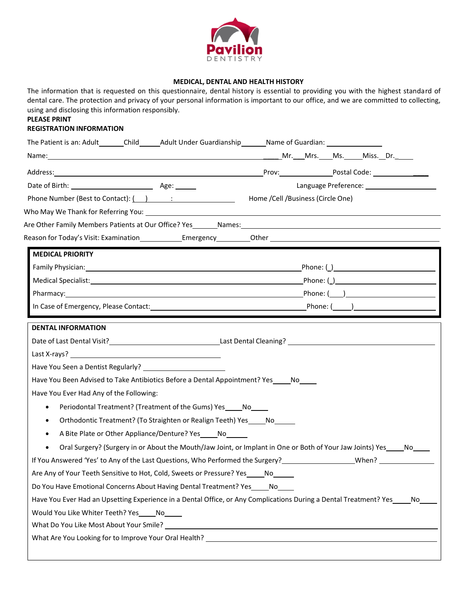

### **MEDICAL, DENTAL AND HEALTH HISTORY**

The information that is requested on this questionnaire, dental history is essential to providing you with the highest standard of dental care. The protection and privacy of your personal information is important to our office, and we are committed to collecting, using and disclosing this information responsibly.

# **PLEASE PRINT**

## **REGISTRATION INFORMATION**

| The Patient is an: Adult_______Child_______Adult Under Guardianship________Name of Guardian: _________________                         |                                                                                                                      |  |  |  |  |
|----------------------------------------------------------------------------------------------------------------------------------------|----------------------------------------------------------------------------------------------------------------------|--|--|--|--|
|                                                                                                                                        |                                                                                                                      |  |  |  |  |
|                                                                                                                                        |                                                                                                                      |  |  |  |  |
|                                                                                                                                        |                                                                                                                      |  |  |  |  |
|                                                                                                                                        | Home / Cell / Business (Circle One)                                                                                  |  |  |  |  |
|                                                                                                                                        |                                                                                                                      |  |  |  |  |
| Are Other Family Members Patients at Our Office? Yes Mames: Names:                                                                     |                                                                                                                      |  |  |  |  |
| Reason for Today's Visit: Examination_______________Emergency___________Other ________________________________                         |                                                                                                                      |  |  |  |  |
| <b>MEDICAL PRIORITY</b>                                                                                                                |                                                                                                                      |  |  |  |  |
|                                                                                                                                        |                                                                                                                      |  |  |  |  |
|                                                                                                                                        |                                                                                                                      |  |  |  |  |
|                                                                                                                                        |                                                                                                                      |  |  |  |  |
|                                                                                                                                        |                                                                                                                      |  |  |  |  |
| <b>DENTAL INFORMATION</b>                                                                                                              |                                                                                                                      |  |  |  |  |
| Have You Been Advised to Take Antibiotics Before a Dental Appointment? Yes_____No_____<br>Have You Ever Had Any of the Following:      |                                                                                                                      |  |  |  |  |
| Periodontal Treatment? (Treatment of the Gums) Yes No<br>$\bullet$                                                                     |                                                                                                                      |  |  |  |  |
| Orthodontic Treatment? (To Straighten or Realign Teeth) Yes _____ No______<br>$\bullet$                                                |                                                                                                                      |  |  |  |  |
| A Bite Plate or Other Appliance/Denture? Yes _____ No<br>$\bullet$                                                                     |                                                                                                                      |  |  |  |  |
|                                                                                                                                        | Oral Surgery? (Surgery in or About the Mouth/Jaw Joint, or Implant in One or Both of Your Jaw Joints) Yes____No____  |  |  |  |  |
| If You Answered 'Yes' to Any of the Last Questions, Who Performed the Surgery?<br>The Surgery Press and Many Director of New York 2014 |                                                                                                                      |  |  |  |  |
| Are Any of Your Teeth Sensitive to Hot, Cold, Sweets or Pressure? Yes_____No_____                                                      |                                                                                                                      |  |  |  |  |
| Do You Have Emotional Concerns About Having Dental Treatment? Yes                                                                      | No.                                                                                                                  |  |  |  |  |
| Have You Ever Had an Upsetting Experience in a Dental Office, or Any Complications During a Dental Treatment? Yes_<br>No               | No.                                                                                                                  |  |  |  |  |
| Would You Like Whiter Teeth? Yes<br>What Do You Like Most About Your Smile? _____                                                      | <u> 1980 - Johann Barn, mars ann an t-Amhain Aonaich an t-Aonaich an t-Aonaich ann an t-Aonaich ann an t-Aonaich</u> |  |  |  |  |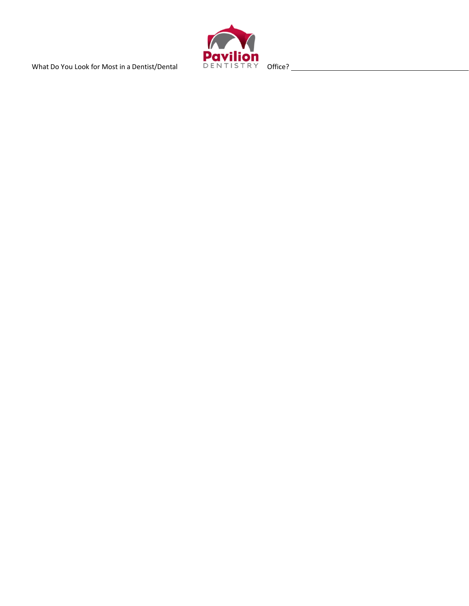